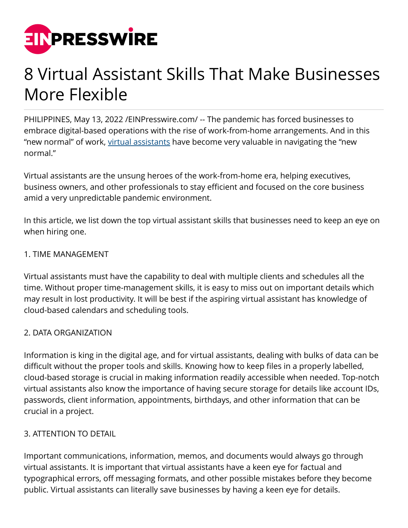

# 8 Virtual Assistant Skills That Make Businesses More Flexible

PHILIPPINES, May 13, 2022 [/EINPresswire.com/](http://www.einpresswire.com) -- The pandemic has forced businesses to embrace digital-based operations with the rise of work-from-home arrangements. And in this "new normal" of work, [virtual assistants](https://emapta.com/job-roles/outsource-virtual-assistant-philippines/) have become very valuable in navigating the "new normal."

Virtual assistants are the unsung heroes of the work-from-home era, helping executives, business owners, and other professionals to stay efficient and focused on the core business amid a very unpredictable pandemic environment.

In this article, we list down the top virtual assistant skills that businesses need to keep an eye on when hiring one.

## 1. TIME MANAGEMENT

Virtual assistants must have the capability to deal with multiple clients and schedules all the time. Without proper time-management skills, it is easy to miss out on important details which may result in lost productivity. It will be best if the aspiring virtual assistant has knowledge of cloud-based calendars and scheduling tools.

## 2. DATA ORGANIZATION

Information is king in the digital age, and for virtual assistants, dealing with bulks of data can be difficult without the proper tools and skills. Knowing how to keep files in a properly labelled, cloud-based storage is crucial in making information readily accessible when needed. Top-notch virtual assistants also know the importance of having secure storage for details like account IDs, passwords, client information, appointments, birthdays, and other information that can be crucial in a project.

## 3. ATTENTION TO DETAIL

Important communications, information, memos, and documents would always go through virtual assistants. It is important that virtual assistants have a keen eye for factual and typographical errors, off messaging formats, and other possible mistakes before they become public. Virtual assistants can literally save businesses by having a keen eye for details.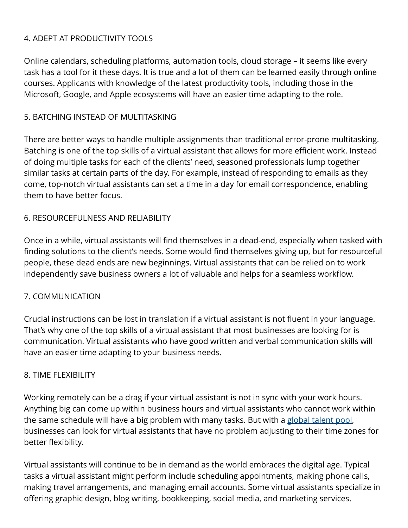# 4. ADEPT AT PRODUCTIVITY TOOLS

Online calendars, scheduling platforms, automation tools, cloud storage – it seems like every task has a tool for it these days. It is true and a lot of them can be learned easily through online courses. Applicants with knowledge of the latest productivity tools, including those in the Microsoft, Google, and Apple ecosystems will have an easier time adapting to the role.

## 5. BATCHING INSTEAD OF MULTITASKING

There are better ways to handle multiple assignments than traditional error-prone multitasking. Batching is one of the top skills of a virtual assistant that allows for more efficient work. Instead of doing multiple tasks for each of the clients' need, seasoned professionals lump together similar tasks at certain parts of the day. For example, instead of responding to emails as they come, top-notch virtual assistants can set a time in a day for email correspondence, enabling them to have better focus.

## 6. RESOURCEFULNESS AND RELIABILITY

Once in a while, virtual assistants will find themselves in a dead-end, especially when tasked with finding solutions to the client's needs. Some would find themselves giving up, but for resourceful people, these dead ends are new beginnings. Virtual assistants that can be relied on to work independently save business owners a lot of valuable and helps for a seamless workflow.

## 7. COMMUNICATION

Crucial instructions can be lost in translation if a virtual assistant is not fluent in your language. That's why one of the top skills of a virtual assistant that most businesses are looking for is communication. Virtual assistants who have good written and verbal communication skills will have an easier time adapting to your business needs.

## 8. TIME FLEXIBILITY

Working remotely can be a drag if your virtual assistant is not in sync with your work hours. Anything big can come up within business hours and virtual assistants who cannot work within the same schedule will have a big problem with many tasks. But with a [global talent pool,](https://emapta.com/premium-talent/) businesses can look for virtual assistants that have no problem adjusting to their time zones for better flexibility.

Virtual assistants will continue to be in demand as the world embraces the digital age. Typical tasks a virtual assistant might perform include scheduling appointments, making phone calls, making travel arrangements, and managing email accounts. Some virtual assistants specialize in offering graphic design, blog writing, bookkeeping, social media, and marketing services.